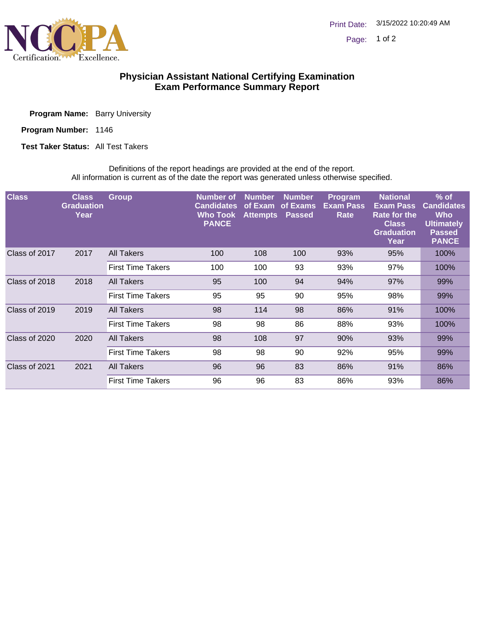

## **Physician Assistant National Certifying Examination Exam Performance Summary Report**

Program Name: Barry University

Program Number: 1146

**Test Taker Status: All Test Takers** 

Definitions of the report headings are provided at the end of the report. All information is current as of the date the report was generated unless otherwise specified.

| <b>Class</b>  | <b>Class</b><br><b>Graduation</b><br>Year | <b>Group</b>             | <b>Number</b> of<br><b>Candidates</b><br>Who Took<br><b>PANCE</b> | <b>Number</b><br>of Exam<br><b>Attempts</b> | <b>Number</b><br>of Exams<br><b>Passed</b> | Program<br><b>Exam Pass</b><br>Rate | <b>National</b><br><b>Exam Pass</b><br>Rate for the<br><b>Class</b><br><b>Graduation</b><br>Year | $%$ of<br><b>Candidates</b><br>Who<br><b>Ultimately</b><br><b>Passed</b><br><b>PANCE</b> |
|---------------|-------------------------------------------|--------------------------|-------------------------------------------------------------------|---------------------------------------------|--------------------------------------------|-------------------------------------|--------------------------------------------------------------------------------------------------|------------------------------------------------------------------------------------------|
| Class of 2017 | 2017                                      | All Takers               | 100                                                               | 108                                         | 100                                        | 93%                                 | 95%                                                                                              | 100%                                                                                     |
|               |                                           | <b>First Time Takers</b> | 100                                                               | 100                                         | 93                                         | 93%                                 | 97%                                                                                              | 100%                                                                                     |
| Class of 2018 | 2018                                      | All Takers               | 95                                                                | 100                                         | 94                                         | 94%                                 | 97%                                                                                              | 99%                                                                                      |
|               |                                           | <b>First Time Takers</b> | 95                                                                | 95                                          | 90                                         | 95%                                 | 98%                                                                                              | 99%                                                                                      |
| Class of 2019 | 2019                                      | <b>All Takers</b>        | 98                                                                | 114                                         | 98                                         | 86%                                 | 91%                                                                                              | 100%                                                                                     |
|               |                                           | <b>First Time Takers</b> | 98                                                                | 98                                          | 86                                         | 88%                                 | 93%                                                                                              | 100%                                                                                     |
| Class of 2020 | 2020                                      | All Takers               | 98                                                                | 108                                         | 97                                         | 90%                                 | 93%                                                                                              | 99%                                                                                      |
|               |                                           | <b>First Time Takers</b> | 98                                                                | 98                                          | 90                                         | 92%                                 | 95%                                                                                              | 99%                                                                                      |
| Class of 2021 | 2021                                      | All Takers               | 96                                                                | 96                                          | 83                                         | 86%                                 | 91%                                                                                              | 86%                                                                                      |
|               |                                           | <b>First Time Takers</b> | 96                                                                | 96                                          | 83                                         | 86%                                 | 93%                                                                                              | 86%                                                                                      |